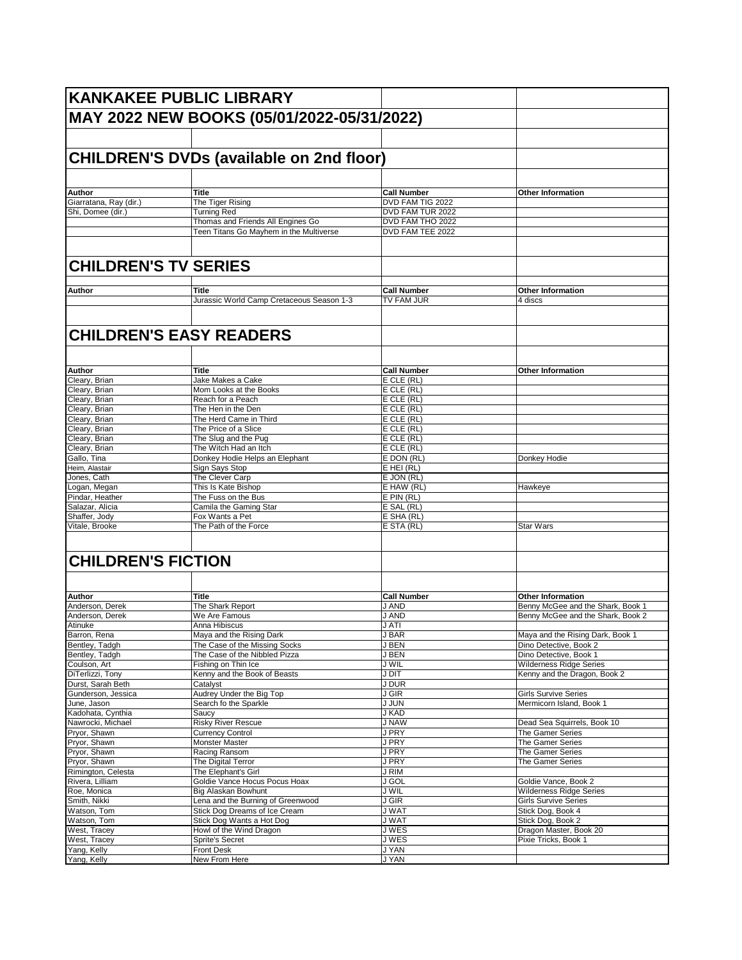|                                             | <b>KANKAKEE PUBLIC LIBRARY</b>                           |                                      |                                                               |
|---------------------------------------------|----------------------------------------------------------|--------------------------------------|---------------------------------------------------------------|
|                                             | MAY 2022 NEW BOOKS (05/01/2022-05/31/2022)               |                                      |                                                               |
|                                             |                                                          |                                      |                                                               |
|                                             | CHILDREN'S DVDs (available on 2nd floor)                 |                                      |                                                               |
|                                             |                                                          |                                      |                                                               |
|                                             |                                                          |                                      |                                                               |
| Author                                      | <b>Title</b>                                             | <b>Call Number</b>                   | <b>Other Information</b>                                      |
| Giarratana, Ray (dir.)<br>Shi, Domee (dir.) | The Tiger Rising<br><b>Turning Red</b>                   | DVD FAM TIG 2022<br>DVD FAM TUR 2022 |                                                               |
|                                             | Thomas and Friends All Engines Go                        | DVD FAM THO 2022                     |                                                               |
|                                             | Teen Titans Go Mayhem in the Multiverse                  | DVD FAM TEE 2022                     |                                                               |
|                                             |                                                          |                                      |                                                               |
| <b>CHILDREN'S TV SERIES</b>                 |                                                          |                                      |                                                               |
|                                             |                                                          |                                      |                                                               |
| Author                                      | Title                                                    | <b>Call Number</b>                   | <b>Other Information</b>                                      |
|                                             | Jurassic World Camp Cretaceous Season 1-3                | TV FAM JUR                           | 4 discs                                                       |
|                                             | <b>CHILDREN'S EASY READERS</b>                           |                                      |                                                               |
|                                             |                                                          |                                      |                                                               |
| Author                                      | <b>Title</b>                                             | <b>Call Number</b>                   | <b>Other Information</b>                                      |
| Cleary, Brian                               | Jake Makes a Cake                                        | E CLE (RL)                           |                                                               |
| Cleary, Brian                               | Mom Looks at the Books                                   | E CLE (RL)                           |                                                               |
| Cleary, Brian                               | Reach for a Peach                                        | E CLE (RL)                           |                                                               |
| Cleary, Brian                               | The Hen in the Den                                       | E CLE (RL)                           |                                                               |
| Cleary, Brian                               | The Herd Came in Third                                   | E CLE (RL)                           |                                                               |
| Cleary, Brian                               | The Price of a Slice                                     | E CLE (RL)                           |                                                               |
| Cleary, Brian                               | The Slug and the Pug                                     | $E$ CLE (RL)                         |                                                               |
| Cleary, Brian                               | The Witch Had an Itch                                    | E CLE (RL)                           |                                                               |
| Gallo, Tina<br>Heim, Alastair               | Donkey Hodie Helps an Elephant<br>Sign Says Stop         | E DON (RL)<br>$E$ HEI (RL)           | Donkey Hodie                                                  |
| Jones, Cath                                 | The Clever Carp                                          | E JON (RL)                           |                                                               |
| Logan, Megan                                | This Is Kate Bishop                                      | E HAW (RL)                           | Hawkeye                                                       |
| Pindar, Heather                             | The Fuss on the Bus                                      | $E$ PIN (RL)                         |                                                               |
| Salazar, Alicia                             | Camila the Gaming Star                                   | E SAL (RL)                           |                                                               |
| Shaffer, Jody                               | Fox Wants a Pet                                          | E SHA (RL)                           |                                                               |
| Vitale, Brooke                              | The Path of the Force                                    | E STA (RL)                           | <b>Star Wars</b>                                              |
| <b>CHILDREN'S FICTION</b>                   |                                                          |                                      |                                                               |
|                                             |                                                          |                                      |                                                               |
|                                             |                                                          |                                      |                                                               |
| Author<br>Anderson, Derek                   | <b>Title</b><br>The Shark Report                         | <b>Call Number</b><br>J AND          | <b>Other Information</b><br>Benny McGee and the Shark, Book 1 |
| Anderson, Derek                             | We Are Famous                                            | J AND                                | Benny McGee and the Shark, Book 2                             |
| Atinuke                                     | Anna Hibiscus                                            | J ATI                                |                                                               |
| Barron, Rena                                | Maya and the Rising Dark                                 | J BAR                                | Maya and the Rising Dark, Book 1                              |
| Bentley, Tadgh                              | The Case of the Missing Socks                            | J BEN                                | Dino Detective, Book 2                                        |
| Bentley, Tadgh                              | The Case of the Nibbled Pizza                            | J BEN                                | Dino Detective, Book 1                                        |
| Coulson, Art                                | Fishing on Thin Ice                                      | J WIL                                | <b>Wilderness Ridge Series</b>                                |
| DiTerlizzi, Tony                            | Kenny and the Book of Beasts                             | J DIT                                | Kenny and the Dragon, Book 2                                  |
| Durst, Sarah Beth<br>Gunderson, Jessica     | Catalyst                                                 | J DUR<br>J GIR                       | <b>Girls Survive Series</b>                                   |
| June, Jason                                 | Audrey Under the Big Top<br>Search fo the Sparkle        | J JUN                                | Mermicorn Island, Book 1                                      |
| Kadohata, Cynthia                           | Saucy                                                    | J KAD                                |                                                               |
| Nawrocki, Michael                           | <b>Risky River Rescue</b>                                | J NAW                                | Dead Sea Squirrels, Book 10                                   |
| Pryor, Shawn                                | <b>Currency Control</b>                                  | J PRY                                | The Gamer Series                                              |
| Pryor, Shawn                                | Monster Master                                           | J PRY                                | The Gamer Series                                              |
| Pryor, Shawn                                | Racing Ransom                                            | J PRY                                | The Gamer Series                                              |
| Pryor, Shawn                                | The Digital Terror                                       | J PRY                                | The Gamer Series                                              |
| Rimington, Celesta                          | The Elephant's Girl                                      | J RIM                                |                                                               |
| Rivera, Lilliam                             | Goldie Vance Hocus Pocus Hoax                            | <b>J GOL</b>                         | Goldie Vance, Book 2                                          |
| Roe, Monica<br>Smith, Nikki                 | Big Alaskan Bowhunt<br>Lena and the Burning of Greenwood | J WIL<br>J GIR                       | <b>Wilderness Ridge Series</b><br><b>Girls Survive Series</b> |
| Watson, Tom                                 | Stick Dog Dreams of Ice Cream                            | <b>JWAT</b>                          | Stick Dog, Book 4                                             |
| Watson, Tom                                 | Stick Dog Wants a Hot Dog                                | <b>JWAT</b>                          | Stick Dog, Book 2                                             |
| West, Tracey                                | Howl of the Wind Dragon                                  | J WES                                | Dragon Master, Book 20                                        |
| West, Tracey                                | Sprite's Secret                                          | J WES                                | Pixie Tricks, Book 1                                          |
| Yang, Kelly                                 | <b>Front Desk</b>                                        | J YAN                                |                                                               |
| Yang, Kelly                                 | New From Here                                            | <b>JYAN</b>                          |                                                               |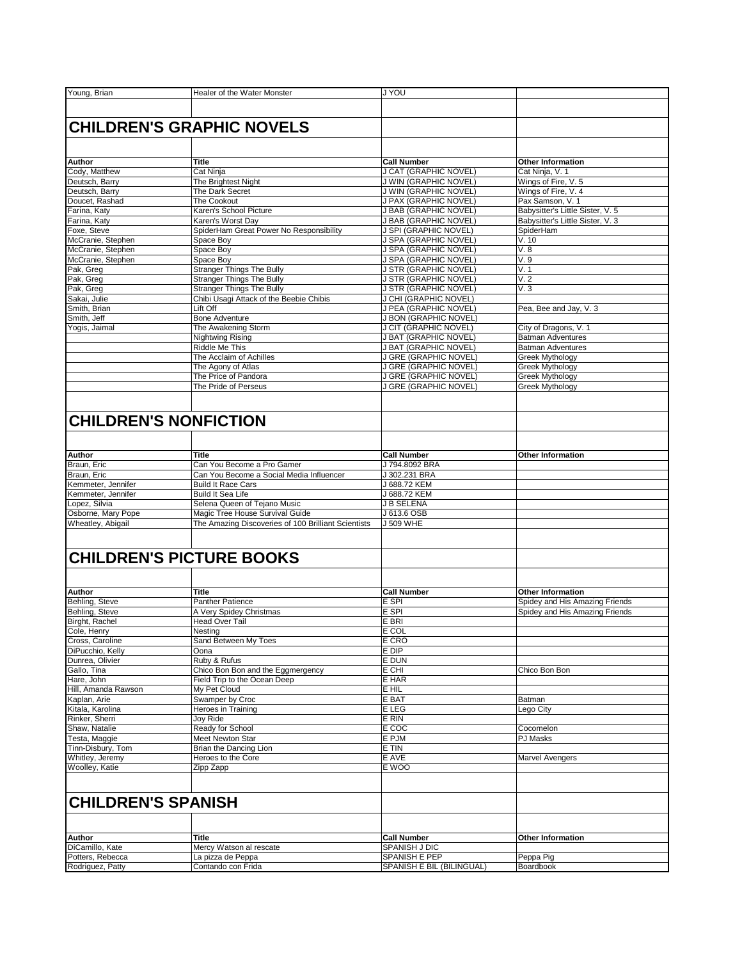| Young, Brian                       | Healer of the Water Monster                         | <b>JYOU</b>               |                                                   |
|------------------------------------|-----------------------------------------------------|---------------------------|---------------------------------------------------|
|                                    |                                                     |                           |                                                   |
|                                    |                                                     |                           |                                                   |
|                                    |                                                     |                           |                                                   |
|                                    | <b>CHILDREN'S GRAPHIC NOVELS</b>                    |                           |                                                   |
|                                    |                                                     |                           |                                                   |
|                                    |                                                     |                           |                                                   |
| Author                             | <b>Title</b>                                        | <b>Call Number</b>        | <b>Other Information</b>                          |
| Cody, Matthew                      | Cat Ninja                                           | J CAT (GRAPHIC NOVEL)     | Cat Ninja, V. 1                                   |
| Deutsch, Barry                     | The Brightest Night                                 | J WIN (GRAPHIC NOVEL)     | Wings of Fire, V. 5                               |
| Deutsch, Barry                     | The Dark Secret                                     | J WIN (GRAPHIC NOVEL)     | Wings of Fire, V. 4                               |
| Doucet, Rashad                     | The Cookout                                         | J PAX (GRAPHIC NOVEL)     | Pax Samson, V. 1                                  |
| Farina, Katy                       | Karen's School Picture                              | J BAB (GRAPHIC NOVEL)     | Babysitter's Little Sister, V. 5                  |
| Farina, Katy                       | Karen's Worst Day                                   | J BAB (GRAPHIC NOVEL)     | Babysitter's Little Sister, V. 3                  |
| Foxe, Steve                        | SpiderHam Great Power No Responsibility             | J SPI (GRAPHIC NOVEL)     | SpiderHam                                         |
| McCranie, Stephen                  | Space Bov                                           | J SPA (GRAPHIC NOVEL)     | V. 10                                             |
| McCranie, Stephen                  | Space Boy                                           | J SPA (GRAPHIC NOVEL)     | V.8                                               |
| McCranie, Stephen                  | Space Boy                                           | J SPA (GRAPHIC NOVEL)     | V.9                                               |
| Pak, Greg                          | <b>Stranger Things The Bully</b>                    | J STR (GRAPHIC NOVEL)     | V.1                                               |
| Pak, Greg                          | <b>Stranger Things The Bully</b>                    | J STR (GRAPHIC NOVEL)     | V.2                                               |
| Pak, Greg                          | <b>Stranger Things The Bully</b>                    | J STR (GRAPHIC NOVEL)     | V.3                                               |
| Sakai, Julie                       | Chibi Usagi Attack of the Beebie Chibis             | J CHI (GRAPHIC NOVEL)     |                                                   |
| Smith, Brian                       | Lift Off                                            | J PEA (GRAPHIC NOVEL)     | Pea, Bee and Jay, V. 3                            |
| Smith, Jeff                        | <b>Bone Adventure</b>                               | J BON (GRAPHIC NOVEL)     |                                                   |
|                                    |                                                     | J CIT (GRAPHIC NOVEL)     |                                                   |
| Yogis, Jaimal                      | The Awakening Storm<br><b>Nightwing Rising</b>      | J BAT (GRAPHIC NOVEL)     | City of Dragons, V. 1<br><b>Batman Adventures</b> |
|                                    |                                                     |                           |                                                   |
|                                    | Riddle Me This                                      | J BAT (GRAPHIC NOVEL)     | <b>Batman Adventures</b>                          |
|                                    | The Acclaim of Achilles                             | J GRE (GRAPHIC NOVEL)     | Greek Mythology                                   |
|                                    | The Agony of Atlas                                  | J GRE (GRAPHIC NOVEL)     | Greek Mythology                                   |
|                                    | The Price of Pandora                                | J GRE (GRAPHIC NOVEL)     | <b>Greek Mythology</b>                            |
|                                    | The Pride of Perseus                                | J GRE (GRAPHIC NOVEL)     | <b>Greek Mythology</b>                            |
|                                    |                                                     |                           |                                                   |
|                                    |                                                     |                           |                                                   |
| <b>CHILDREN'S NONFICTION</b>       |                                                     |                           |                                                   |
|                                    |                                                     |                           |                                                   |
|                                    |                                                     |                           |                                                   |
|                                    |                                                     |                           |                                                   |
| Author                             | <b>Title</b>                                        | <b>Call Number</b>        | <b>Other Information</b>                          |
| Braun, Eric                        | Can You Become a Pro Gamer                          | J 794.8092 BRA            |                                                   |
| Braun, Eric                        | Can You Become a Social Media Influencer            | J 302.231 BRA             |                                                   |
| Kemmeter, Jennifer                 | <b>Build It Race Cars</b>                           | J 688.72 KEM              |                                                   |
| Kemmeter, Jennifer                 | <b>Build It Sea Life</b>                            | J 688.72 KEM              |                                                   |
| Lopez, Silvia                      | Selena Queen of Tejano Music                        | <b>J B SELENA</b>         |                                                   |
| Osborne, Mary Pope                 | Magic Tree House Survival Guide                     | J 613.6 OSB               |                                                   |
| Wheatley, Abigail                  | The Amazing Discoveries of 100 Brilliant Scientists | J 509 WHE                 |                                                   |
|                                    |                                                     |                           |                                                   |
|                                    |                                                     |                           |                                                   |
|                                    |                                                     |                           |                                                   |
|                                    | <b>CHILDREN'S PICTURE BOOKS</b>                     |                           |                                                   |
|                                    |                                                     |                           |                                                   |
|                                    |                                                     |                           |                                                   |
| Author                             | <b>Title</b>                                        | <b>Call Number</b>        | <b>Other Information</b>                          |
| Behling, Steve                     | <b>Panther Patience</b>                             | E SPI                     | Spidey and His Amazing Friends                    |
| Behling, Steve                     | A Very Spidey Christmas                             | E SPI                     | Spidey and His Amazing Friends                    |
| Birght, Rachel                     | Head Over Tail                                      | E BRI                     |                                                   |
| Cole, Henry                        | Nesting                                             | E COL                     |                                                   |
| Cross, Caroline                    | Sand Between My Toes                                | E CRO                     |                                                   |
| DiPucchio, Kelly                   | Oona                                                | E DIP                     |                                                   |
| Dunrea, Olivier                    | Ruby & Rufus                                        | E DUN                     |                                                   |
| Gallo, Tina                        | Chico Bon Bon and the Eggmergency                   | E CHI                     | Chico Bon Bon                                     |
| Hare, John                         | Field Trip to the Ocean Deep                        |                           |                                                   |
| Hill, Amanda Rawson                | My Pet Cloud                                        | E HAR<br>E HIL            |                                                   |
|                                    |                                                     |                           |                                                   |
| Kaplan, Arie                       | Swamper by Croc                                     | E BAT                     | Batman<br>Lego City                               |
| Kitala, Karolina<br>Rinker, Sherri | Heroes in Training                                  | E LEG                     |                                                   |
|                                    | Joy Ride                                            | E RIN                     |                                                   |
| Shaw, Natalie                      | Ready for School                                    | E COC                     | Cocomelon                                         |
| Testa, Maggie                      | Meet Newton Star                                    | E PJM                     | PJ Masks                                          |
| Tinn-Disbury, Tom                  | Brian the Dancing Lion                              | E TIN                     |                                                   |
| Whitley, Jeremy                    | Heroes to the Core                                  | E AVE                     | <b>Marvel Avengers</b>                            |
| Woolley, Katie                     | Zipp Zapp                                           | E WOO                     |                                                   |
|                                    |                                                     |                           |                                                   |
|                                    |                                                     |                           |                                                   |
| <b>CHILDREN'S SPANISH</b>          |                                                     |                           |                                                   |
|                                    |                                                     |                           |                                                   |
|                                    |                                                     |                           |                                                   |
|                                    |                                                     |                           |                                                   |
| Author                             | <b>Title</b>                                        | <b>Call Number</b>        | <b>Other Information</b>                          |
| DiCamillo, Kate                    | Mercy Watson al rescate                             | SPANISH J DIC             |                                                   |
| Potters, Rebecca                   | La pizza de Peppa                                   | SPANISH E PEP             | Peppa Pig                                         |
| Rodriguez, Patty                   | Contando con Frida                                  | SPANISH E BIL (BILINGUAL) | Boardbook                                         |
|                                    |                                                     |                           |                                                   |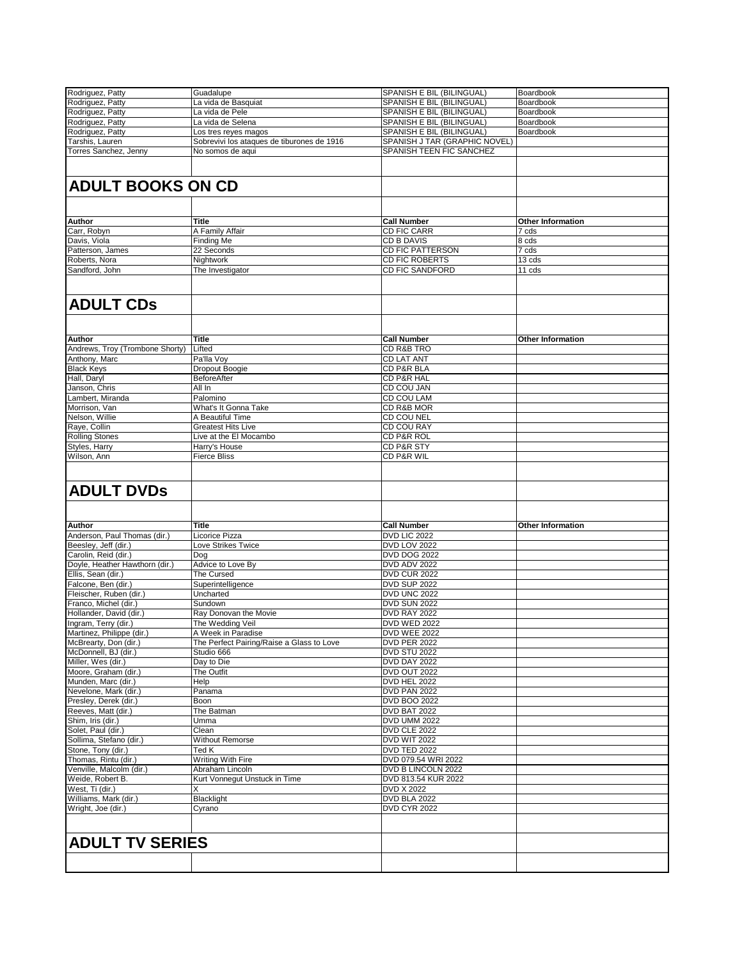| Rodriguez, Patty                | Guadalupe                                  | SPANISH E BIL (BILINGUAL)     | Boardbook                |
|---------------------------------|--------------------------------------------|-------------------------------|--------------------------|
| Rodriguez, Patty                | La vida de Basquiat                        | SPANISH E BIL (BILINGUAL)     | Boardbook                |
| Rodriguez, Patty                | La vida de Pele                            | SPANISH E BIL (BILINGUAL)     | Boardbook                |
| Rodriguez, Patty                | La vida de Selena                          | SPANISH E BIL (BILINGUAL)     | Boardbook                |
| Rodriguez, Patty                |                                            | SPANISH E BIL (BILINGUAL)     | Boardbook                |
|                                 | Los tres reyes magos                       |                               |                          |
| Tarshis, Lauren                 | Sobrevivi los ataques de tiburones de 1916 | SPANISH J TAR (GRAPHIC NOVEL) |                          |
| <b>Torres Sanchez, Jenny</b>    | No somos de aqui                           | SPANISH TEEN FIC SANCHEZ      |                          |
|                                 |                                            |                               |                          |
|                                 |                                            |                               |                          |
| <b>ADULT BOOKS ON CD</b>        |                                            |                               |                          |
|                                 |                                            |                               |                          |
|                                 |                                            |                               |                          |
|                                 |                                            |                               |                          |
| Author                          | <b>Title</b>                               | <b>Call Number</b>            | <b>Other Information</b> |
| Carr, Robyn                     | A Family Affair                            | CD FIC CARR                   | 7 cds                    |
| Davis, Viola                    | Finding Me                                 | CD B DAVIS                    | 8 cds                    |
| Patterson, James                | 22 Seconds                                 | CD FIC PATTERSON              | 7 cds                    |
| Roberts, Nora                   | Nightwork                                  | CD FIC ROBERTS                | 13 cds                   |
| Sandford, John                  | The Investigator                           | <b>CD FIC SANDFORD</b>        | 11 cds                   |
|                                 |                                            |                               |                          |
|                                 |                                            |                               |                          |
|                                 |                                            |                               |                          |
| <b>ADULT CDs</b>                |                                            |                               |                          |
|                                 |                                            |                               |                          |
|                                 |                                            |                               |                          |
|                                 |                                            |                               |                          |
| Author                          | <b>Title</b>                               | <b>Call Number</b>            | <b>Other Information</b> |
| Andrews, Troy (Trombone Shorty) | Lifted                                     | CD R&B TRO                    |                          |
| Anthony, Marc                   | Pa'lla Voy                                 | <b>CD LAT ANT</b>             |                          |
| <b>Black Keys</b>               | Dropout Boogie                             | CD P&R BLA                    |                          |
| Hall, Daryl                     | BeforeAfter                                | CD P&R HAL                    |                          |
| Janson, Chris                   | All In                                     | CD COU JAN                    |                          |
| Lambert, Miranda                | Palomino                                   | CD COU LAM                    |                          |
| Morrison, Van                   | What's It Gonna Take                       | CD R&B MOR                    |                          |
| Nelson, Willie                  | A Beautiful Time                           | CD COU NEL                    |                          |
| Raye, Collin                    | <b>Greatest Hits Live</b>                  | CD COU RAY                    |                          |
| <b>Rolling Stones</b>           | Live at the El Mocambo                     | CD P&R ROL                    |                          |
| Styles, Harry                   | Harry's House                              | CD P&R STY                    |                          |
| Wilson, Ann                     | <b>Fierce Bliss</b>                        | CD P&R WIL                    |                          |
|                                 |                                            |                               |                          |
|                                 |                                            |                               |                          |
| <b>ADULT DVDs</b>               |                                            |                               |                          |
|                                 |                                            |                               |                          |
| Author                          | <b>Title</b>                               | <b>Call Number</b>            | <b>Other Information</b> |
| Anderson, Paul Thomas (dir.)    | Licorice Pizza                             | <b>DVD LIC 2022</b>           |                          |
| Beesley, Jeff (dir.)            | Love Strikes Twice                         | DVD LOV 2022                  |                          |
| Carolin, Reid (dir.)            |                                            | <b>DVD DOG 2022</b>           |                          |
|                                 | Dog                                        |                               |                          |
| Doyle, Heather Hawthorn (dir.)  | Advice to Love By                          | <b>DVD ADV 2022</b>           |                          |
| Ellis, Sean (dir.)              | The Cursed                                 | DVD CUR 2022                  |                          |
| Falcone, Ben (dir.)             | Superintelligence                          | <b>DVD SUP 2022</b>           |                          |
| Fleischer, Ruben (dir.)         | Uncharted                                  | DVD UNC 2022                  |                          |
| Franco. Michel (dir.)           | Sundown                                    | DVD SUN 2022                  |                          |
| Hollander, David (dir.)         | Ray Donovan the Movie                      | DVD RAY 2022                  |                          |
| Ingram, Terry (dir.)            | The Wedding Veil                           | <b>DVD WED 2022</b>           |                          |
| Martinez, Philippe (dir.)       | A Week in Paradise                         | <b>DVD WEE 2022</b>           |                          |
| McBrearty, Don (dir.)           | The Perfect Pairing/Raise a Glass to Love  | <b>DVD PER 2022</b>           |                          |
| McDonnell, BJ (dir.)            | Studio 666                                 | <b>DVD STU 2022</b>           |                          |
| Miller, Wes (dir.)              | Day to Die                                 | DVD DAY 2022                  |                          |
| Moore, Graham (dir.)            | The Outfit                                 | DVD OUT 2022                  |                          |
| Munden, Marc (dir.)             | Help                                       | DVD HEL 2022                  |                          |
| Nevelone, Mark (dir.)           | Panama                                     | DVD PAN 2022                  |                          |
| Presley, Derek (dir.)           | Boon                                       | DVD BOO 2022                  |                          |
| Reeves, Matt (dir.)             | The Batman                                 | DVD BAT 2022                  |                          |
|                                 |                                            |                               |                          |
| Shim, Iris (dir.)               | Umma                                       | DVD UMM 2022                  |                          |
| Solet, Paul (dir.)              | Clean                                      | DVD CLE 2022                  |                          |
| Sollima, Stefano (dir.)         | <b>Without Remorse</b>                     | <b>DVD WIT 2022</b>           |                          |
| Stone, Tony (dir.)              | Ted K                                      | DVD TED 2022                  |                          |
| Thomas, Rintu (dir.)            | Writing With Fire                          | DVD 079.54 WRI 2022           |                          |
| Venville, Malcolm (dir.)        | Abraham Lincoln                            | DVD B LINCOLN 2022            |                          |
| Weide, Robert B.                | Kurt Vonnegut Unstuck in Time              | DVD 813.54 KUR 2022           |                          |
| West, Ti (dir.)                 | х                                          | DVD X 2022                    |                          |
| Williams, Mark (dir.)           | Blacklight                                 | DVD BLA 2022                  |                          |
| Wright, Joe (dir.)              | Cyrano                                     | <b>DVD CYR 2022</b>           |                          |
|                                 |                                            |                               |                          |
|                                 |                                            |                               |                          |
|                                 |                                            |                               |                          |
| <b>ADULT TV SERIES</b>          |                                            |                               |                          |
|                                 |                                            |                               |                          |
|                                 |                                            |                               |                          |
|                                 |                                            |                               |                          |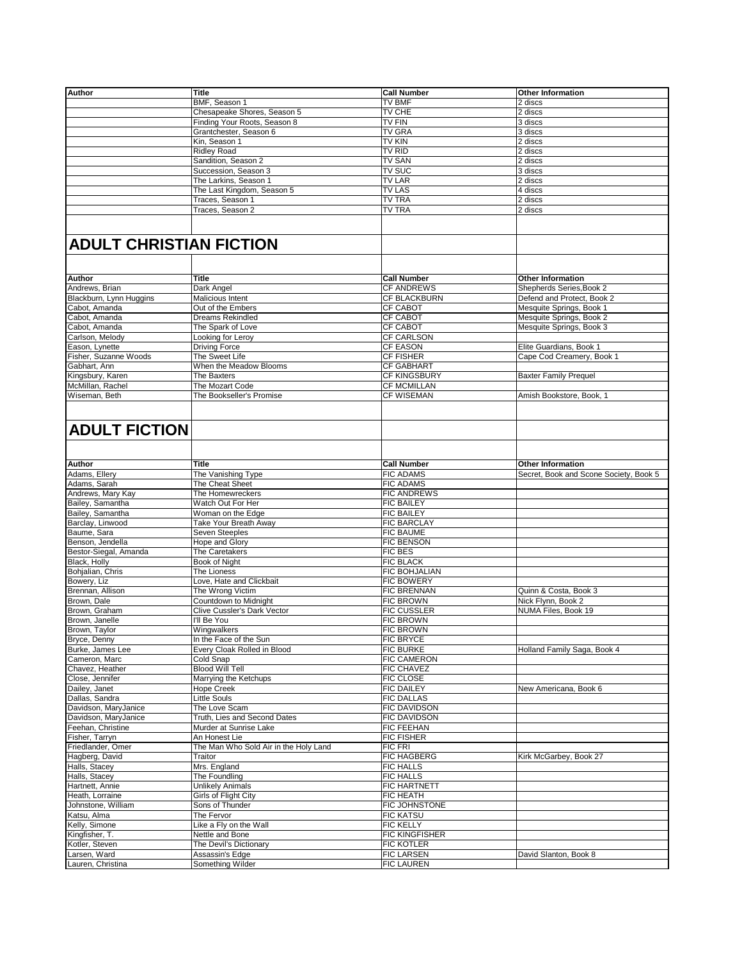| Author                         | <b>Title</b>                          | <b>Call Number</b>   | <b>Other Information</b>               |
|--------------------------------|---------------------------------------|----------------------|----------------------------------------|
|                                |                                       |                      |                                        |
|                                | BMF, Season 1                         | TV BMF               | 2 discs                                |
|                                | Chesapeake Shores, Season 5           | TV CHE               | 2 discs                                |
|                                | Finding Your Roots, Season 8          | TV FIN               | 3 discs                                |
|                                | Grantchester, Season 6                | <b>TV GRA</b>        | 3 discs                                |
|                                |                                       | <b>TV KIN</b>        |                                        |
|                                | Kin, Season 1                         |                      | 2 discs                                |
|                                | <b>Ridley Road</b>                    | TV RID               | 2 discs                                |
|                                | Sandition, Season 2                   | <b>TV SAN</b>        | 2 discs                                |
|                                | Succession, Season 3                  | TV SUC               | 3 discs                                |
|                                |                                       |                      |                                        |
|                                | The Larkins, Season 1                 | TV LAR               | 2 discs                                |
|                                | The Last Kingdom, Season 5            | TV LAS               | 4 discs                                |
|                                | Traces, Season 1                      | <b>TV TRA</b>        | 2 discs                                |
|                                |                                       |                      |                                        |
|                                | Traces, Season 2                      | TV TRA               | 2 discs                                |
|                                |                                       |                      |                                        |
|                                |                                       |                      |                                        |
| <b>ADULT CHRISTIAN FICTION</b> |                                       |                      |                                        |
|                                |                                       |                      |                                        |
|                                |                                       |                      |                                        |
| Author                         | <b>Title</b>                          | <b>Call Number</b>   | <b>Other Information</b>               |
| Andrews, Brian                 | Dark Angel                            | <b>CF ANDREWS</b>    | Shepherds Series, Book 2               |
| Blackburn, Lynn Huggins        | Malicious Intent                      | CF BLACKBURN         | Defend and Protect, Book 2             |
|                                |                                       |                      |                                        |
| Cabot, Amanda                  | Out of the Embers                     | CF CABOT             | Mesquite Springs, Book 1               |
| Cabot, Amanda                  | <b>Dreams Rekindled</b>               | <b>CF CABOT</b>      | Mesquite Springs, Book 2               |
| Cabot, Amanda                  | The Spark of Love                     | <b>CF CABOT</b>      | Mesquite Springs, Book 3               |
|                                |                                       | CF CARLSON           |                                        |
| Carlson, Melody                | Looking for Leroy                     |                      |                                        |
| Eason, Lynette                 | <b>Driving Force</b>                  | <b>CF EASON</b>      | Elite Guardians, Book 1                |
| Fisher, Suzanne Woods          | The Sweet Life                        | <b>CF FISHER</b>     | Cape Cod Creamery, Book 1              |
| Gabhart, Ann                   | When the Meadow Blooms                | <b>CF GABHART</b>    |                                        |
|                                |                                       |                      |                                        |
| Kingsbury, Karen               | The Baxters                           | <b>CF KINGSBURY</b>  | <b>Baxter Family Prequel</b>           |
| McMillan, Rachel               | The Mozart Code                       | <b>CF MCMILLAN</b>   |                                        |
| Wiseman, Beth                  | The Bookseller's Promise              | <b>CF WISEMAN</b>    | Amish Bookstore, Book, 1               |
|                                |                                       |                      |                                        |
|                                |                                       |                      |                                        |
|                                |                                       |                      |                                        |
| <b>ADULT FICTION</b>           |                                       |                      |                                        |
|                                |                                       |                      |                                        |
|                                |                                       |                      |                                        |
| Author                         | Title                                 | <b>Call Number</b>   | <b>Other Information</b>               |
|                                |                                       | <b>FIC ADAMS</b>     |                                        |
| Adams, Ellery                  | The Vanishing Type                    |                      | Secret, Book and Scone Society, Book 5 |
| Adams, Sarah                   | The Cheat Sheet                       | <b>FIC ADAMS</b>     |                                        |
| Andrews, Mary Kay              | The Homewreckers                      | <b>FIC ANDREWS</b>   |                                        |
| Bailey, Samantha               | Watch Out For Her                     | <b>FIC BAILEY</b>    |                                        |
|                                |                                       |                      |                                        |
| Bailey, Samantha               | Woman on the Edge                     | <b>FIC BAILEY</b>    |                                        |
| Barclay, Linwood               | Take Your Breath Away                 | <b>FIC BARCLAY</b>   |                                        |
| Baume, Sara                    | Seven Steeples                        | FIC BAUME            |                                        |
| Benson, Jendella               | Hope and Glory                        | <b>FIC BENSON</b>    |                                        |
|                                |                                       |                      |                                        |
|                                | The Caretakers                        | <b>FIC BES</b>       |                                        |
| Bestor-Siegal, Amanda          |                                       | <b>FIC BLACK</b>     |                                        |
|                                |                                       |                      |                                        |
| Black, Holly                   | Book of Night                         |                      |                                        |
| Bohjalian, Chris               | The Lioness                           | <b>FIC BOHJALIAN</b> |                                        |
| Bowery, Liz                    | Love, Hate and Clickbait              | FIC BOWERY           |                                        |
| Brennan, Allison               | The Wrong Victim                      | <b>FIC BRENNAN</b>   | Quinn & Costa, Book 3                  |
| Brown, Dale                    |                                       | <b>FIC BROWN</b>     |                                        |
|                                | Countdown to Midnight                 |                      | Nick Flynn, Book 2                     |
| Brown, Graham                  | Clive Cussler's Dark Vector           | <b>FIC CUSSLER</b>   | NUMA Files, Book 19                    |
| Brown, Janelle                 | I'll Be You                           | <b>FIC BROWN</b>     |                                        |
|                                |                                       | <b>FIC BROWN</b>     |                                        |
|                                | Wingwalkers                           |                      |                                        |
|                                | In the Face of the Sun                | <b>FIC BRYCE</b>     |                                        |
| Burke, James Lee               | Every Cloak Rolled in Blood           | <b>FIC BURKE</b>     | Holland Family Saga, Book 4            |
| Cameron, Marc                  | Cold Snap                             | <b>FIC CAMERON</b>   |                                        |
| Brown, Taylor<br>Bryce, Denny  | <b>Blood Will Tell</b>                | FIC CHAVEZ           |                                        |
| Chavez, Heather                |                                       |                      |                                        |
| Close, Jennifer                | Marrying the Ketchups                 | FIC CLOSE            |                                        |
| Dailey, Janet                  | <b>Hope Creek</b>                     | <b>FIC DAILEY</b>    | New Americana, Book 6                  |
| Dallas, Sandra                 | Little Souls                          | <b>FIC DALLAS</b>    |                                        |
|                                |                                       |                      |                                        |
| Davidson, MaryJanice           | The Love Scam                         | FIC DAVIDSON         |                                        |
| Davidson, MaryJanice           | Truth, Lies and Second Dates          | FIC DAVIDSON         |                                        |
| Feehan, Christine              | Murder at Sunrise Lake                | FIC FEEHAN           |                                        |
|                                | An Honest Lie                         |                      |                                        |
| Fisher, Tarryn                 |                                       | FIC FISHER           |                                        |
| Friedlander, Omer              | The Man Who Sold Air in the Holy Land | FIC FRI              |                                        |
| Hagberg, David                 | Traitor                               | FIC HAGBERG          | Kirk McGarbey, Book 27                 |
|                                |                                       | <b>FIC HALLS</b>     |                                        |
| Halls, Stacey                  | Mrs. England                          |                      |                                        |
| Halls, Stacey                  | The Foundling                         | <b>FIC HALLS</b>     |                                        |
| Hartnett, Annie                | <b>Unlikely Animals</b>               | FIC HARTNETT         |                                        |
|                                |                                       | <b>FIC HEATH</b>     |                                        |
| Heath, Lorraine                | Girls of Flight City                  |                      |                                        |
| Johnstone, William             | Sons of Thunder                       | FIC JOHNSTONE        |                                        |
| Katsu, Alma                    | The Fervor                            | <b>FIC KATSU</b>     |                                        |
| Kelly, Simone                  | Like a Fly on the Wall                | <b>FIC KELLY</b>     |                                        |
|                                |                                       |                      |                                        |
| Kingfisher, T.                 | Nettle and Bone                       | FIC KINGFISHER       |                                        |
| Kotler, Steven                 | The Devil's Dictionary                | <b>FIC KOTLER</b>    |                                        |
| Larsen, Ward                   | Assassin's Edge<br>Something Wilder   | <b>FIC LARSEN</b>    | David Slanton, Book 8                  |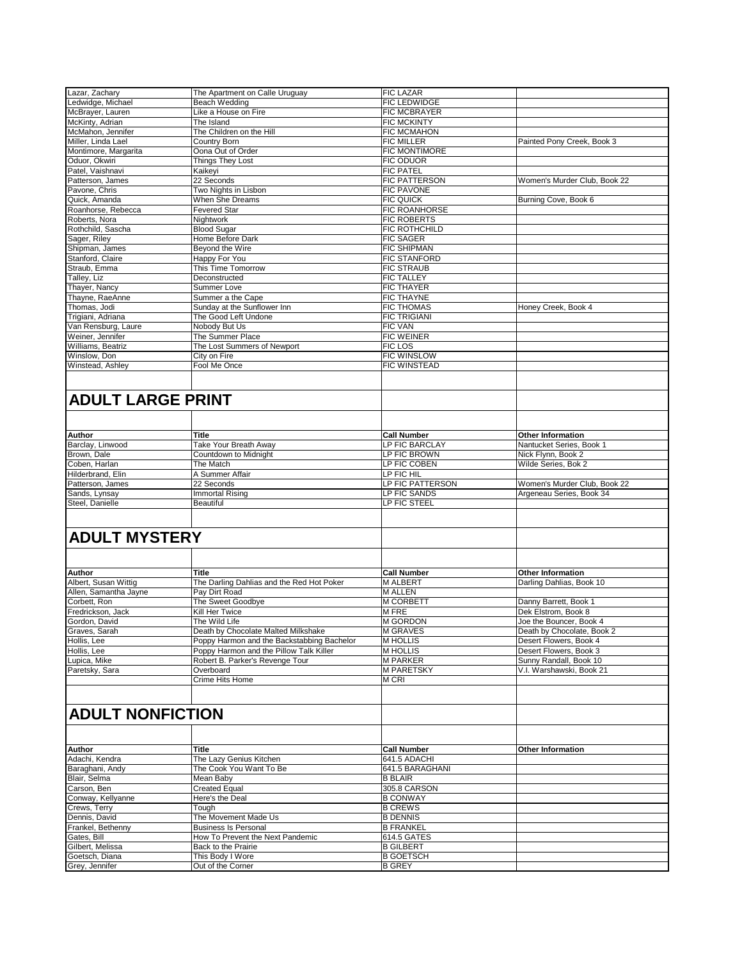| Lazar, Zachary                                                                                                                                                                                                               | The Apartment on Calle Uruguay             | <b>FIC LAZAR</b>                 |                                                      |
|------------------------------------------------------------------------------------------------------------------------------------------------------------------------------------------------------------------------------|--------------------------------------------|----------------------------------|------------------------------------------------------|
| Ledwidge, Michael                                                                                                                                                                                                            | Beach Wedding                              | FIC LEDWIDGE                     |                                                      |
| McBrayer, Lauren                                                                                                                                                                                                             | Like a House on Fire                       | FIC MCBRAYER                     |                                                      |
|                                                                                                                                                                                                                              | The Island                                 | <b>FIC MCKINTY</b>               |                                                      |
| McKinty, Adrian                                                                                                                                                                                                              |                                            |                                  |                                                      |
| McMahon, Jennifer                                                                                                                                                                                                            | The Children on the Hill                   | FIC MCMAHON                      |                                                      |
| Miller, Linda Lael                                                                                                                                                                                                           | Country Born                               | FIC MILLER                       | Painted Pony Creek, Book 3                           |
| Montimore, Margarita                                                                                                                                                                                                         | Oona Out of Order                          | FIC MONTIMORE                    |                                                      |
| Oduor, Okwiri                                                                                                                                                                                                                | Things They Lost                           | FIC ODUOR                        |                                                      |
| Patel, Vaishnavi                                                                                                                                                                                                             | Kaikeyi                                    | <b>FIC PATEL</b>                 |                                                      |
| Patterson, James                                                                                                                                                                                                             | 22 Seconds                                 | FIC PATTERSON                    | Women's Murder Club, Book 22                         |
|                                                                                                                                                                                                                              |                                            |                                  |                                                      |
| Pavone, Chris                                                                                                                                                                                                                | Two Nights in Lisbon                       | FIC PAVONE                       |                                                      |
| Quick, Amanda                                                                                                                                                                                                                | When She Dreams                            | <b>FIC QUICK</b>                 | Burning Cove, Book 6                                 |
| Roanhorse, Rebecca                                                                                                                                                                                                           | <b>Fevered Star</b>                        | FIC ROANHORSE                    |                                                      |
| Roberts, Nora                                                                                                                                                                                                                | Nightwork                                  | <b>FIC ROBERTS</b>               |                                                      |
| Rothchild, Sascha                                                                                                                                                                                                            | <b>Blood Sugar</b>                         | FIC ROTHCHILD                    |                                                      |
| Sager, Riley                                                                                                                                                                                                                 | Home Before Dark                           | <b>FIC SAGER</b>                 |                                                      |
| Shipman, James                                                                                                                                                                                                               | Beyond the Wire                            | <b>FIC SHIPMAN</b>               |                                                      |
| Stanford, Claire                                                                                                                                                                                                             |                                            | <b>FIC STANFORD</b>              |                                                      |
|                                                                                                                                                                                                                              | Happy For You                              |                                  |                                                      |
| Straub, Emma                                                                                                                                                                                                                 | This Time Tomorrow                         | <b>FIC STRAUB</b>                |                                                      |
| Talley, Liz                                                                                                                                                                                                                  | Deconstructed                              | <b>FIC TALLEY</b>                |                                                      |
| Thayer, Nancy                                                                                                                                                                                                                | Summer Love                                | <b>FIC THAYER</b>                |                                                      |
| Thayne, RaeAnne                                                                                                                                                                                                              | Summer a the Cape                          | <b>FIC THAYNE</b>                |                                                      |
| Thomas, Jodi                                                                                                                                                                                                                 | Sunday at the Sunflower Inn                | <b>FIC THOMAS</b>                | Honey Creek, Book 4                                  |
| Trigiani, Adriana                                                                                                                                                                                                            | The Good Left Undone                       | <b>FIC TRIGIANI</b>              |                                                      |
|                                                                                                                                                                                                                              |                                            |                                  |                                                      |
| Van Rensburg, Laure                                                                                                                                                                                                          | Nobody But Us                              | <b>FIC VAN</b>                   |                                                      |
| Weiner, Jennifer                                                                                                                                                                                                             | The Summer Place                           | <b>FIC WEINER</b>                |                                                      |
| Williams, Beatriz                                                                                                                                                                                                            | The Lost Summers of Newport                | FIC LOS                          |                                                      |
| Winslow, Don                                                                                                                                                                                                                 | City on Fire                               | <b>FIC WINSLOW</b>               |                                                      |
| Winstead, Ashley                                                                                                                                                                                                             | Fool Me Once                               | <b>FIC WINSTEAD</b>              |                                                      |
|                                                                                                                                                                                                                              |                                            |                                  |                                                      |
| ADULT LARGE PRINT                                                                                                                                                                                                            |                                            |                                  |                                                      |
|                                                                                                                                                                                                                              |                                            |                                  |                                                      |
|                                                                                                                                                                                                                              |                                            |                                  |                                                      |
| Author                                                                                                                                                                                                                       | Title                                      | <b>Call Number</b>               | <b>Other Information</b>                             |
| Barclay, Linwood                                                                                                                                                                                                             | Take Your Breath Away                      | LP FIC BARCLAY                   | Nantucket Series, Book 1                             |
| Brown, Dale                                                                                                                                                                                                                  | Countdown to Midnight                      | LP FIC BROWN                     | Nick Flynn, Book 2                                   |
|                                                                                                                                                                                                                              |                                            |                                  |                                                      |
|                                                                                                                                                                                                                              |                                            |                                  |                                                      |
|                                                                                                                                                                                                                              | The Match                                  | LP FIC COBEN                     | Wilde Series, Bok 2                                  |
|                                                                                                                                                                                                                              | A Summer Affair                            | LP FIC HIL                       |                                                      |
|                                                                                                                                                                                                                              | 22 Seconds                                 | LP FIC PATTERSON                 | Women's Murder Club, Book 22                         |
|                                                                                                                                                                                                                              | Immortal Rising<br><b>Beautiful</b>        | LP FIC SANDS<br>LP FIC STEEL     | Argeneau Series, Book 34                             |
|                                                                                                                                                                                                                              |                                            |                                  |                                                      |
|                                                                                                                                                                                                                              |                                            |                                  |                                                      |
|                                                                                                                                                                                                                              | <b>Title</b>                               | <b>Call Number</b>               | <b>Other Information</b>                             |
|                                                                                                                                                                                                                              |                                            |                                  |                                                      |
|                                                                                                                                                                                                                              | The Darling Dahlias and the Red Hot Poker  | M ALBERT                         | Darling Dahlias, Book 10                             |
| Coben, Harlan<br>Hilderbrand, Elin<br>Patterson, James<br>Sands, Lynsay<br>Steel, Danielle<br><b>ADULT MYSTERY</b><br>Author<br>Albert, Susan Wittig<br>Allen, Samantha Jayne                                                | Pay Dirt Road                              | <b>M ALLEN</b>                   |                                                      |
| Corbett, Ron                                                                                                                                                                                                                 | The Sweet Goodbye                          | <b>M CORBETT</b>                 | Danny Barrett, Book 1                                |
|                                                                                                                                                                                                                              | Kill Her Twice                             | M FRE                            | Dek Elstrom, Book 8                                  |
|                                                                                                                                                                                                                              | The Wild Life                              | M GORDON                         | Joe the Bouncer, Book 4                              |
|                                                                                                                                                                                                                              |                                            | <b>M GRAVES</b>                  |                                                      |
|                                                                                                                                                                                                                              | Death by Chocolate Malted Milkshake        |                                  | Death by Chocolate, Book 2<br>Desert Flowers, Book 4 |
|                                                                                                                                                                                                                              | Poppy Harmon and the Backstabbing Bachelor | M HOLLIS                         |                                                      |
|                                                                                                                                                                                                                              | Poppy Harmon and the Pillow Talk Killer    | <b>M HOLLIS</b>                  | Desert Flowers, Book 3                               |
|                                                                                                                                                                                                                              | Robert B. Parker's Revenge Tour            | <b>M PARKER</b>                  | Sunny Randall, Book 10                               |
|                                                                                                                                                                                                                              | Overboard<br>Crime Hits Home               | <b>M PARETSKY</b><br><b>MCRI</b> | V.I. Warshawski, Book 21                             |
|                                                                                                                                                                                                                              |                                            |                                  |                                                      |
|                                                                                                                                                                                                                              |                                            |                                  |                                                      |
|                                                                                                                                                                                                                              |                                            |                                  |                                                      |
|                                                                                                                                                                                                                              | Title                                      | <b>Call Number</b>               | <b>Other Information</b>                             |
|                                                                                                                                                                                                                              |                                            |                                  |                                                      |
|                                                                                                                                                                                                                              | The Lazy Genius Kitchen                    | 641.5 ADACHI                     |                                                      |
|                                                                                                                                                                                                                              | The Cook You Want To Be                    | 641.5 BARAGHANI                  |                                                      |
|                                                                                                                                                                                                                              | Mean Baby                                  | <b>B BLAIR</b>                   |                                                      |
|                                                                                                                                                                                                                              | <b>Created Equal</b>                       | 305.8 CARSON                     |                                                      |
| Fredrickson, Jack<br>Gordon, David<br>Graves, Sarah<br>Hollis, Lee<br>Hollis, Lee<br>Lupica, Mike<br>Paretsky, Sara<br><b>ADULT NONFICTION</b><br>Author<br>Adachi, Kendra<br>Baraghani, Andy<br>Blair, Selma<br>Carson, Ben | Here's the Deal                            | <b>B CONWAY</b>                  |                                                      |
| Conway, Kellyanne                                                                                                                                                                                                            |                                            |                                  |                                                      |
| Crews, Terry                                                                                                                                                                                                                 | Tough                                      | <b>B CREWS</b>                   |                                                      |
| Dennis, David                                                                                                                                                                                                                | The Movement Made Us                       | <b>B DENNIS</b>                  |                                                      |
| Frankel, Bethenny                                                                                                                                                                                                            | <b>Business Is Personal</b>                | <b>B FRANKEL</b>                 |                                                      |
| Gates, Bill                                                                                                                                                                                                                  | How To Prevent the Next Pandemic           | 614.5 GATES                      |                                                      |
|                                                                                                                                                                                                                              | Back to the Prairie                        | <b>B GILBERT</b>                 |                                                      |
| Gilbert, Melissa<br>Goetsch, Diana                                                                                                                                                                                           | This Body I Wore                           | <b>B GOETSCH</b>                 |                                                      |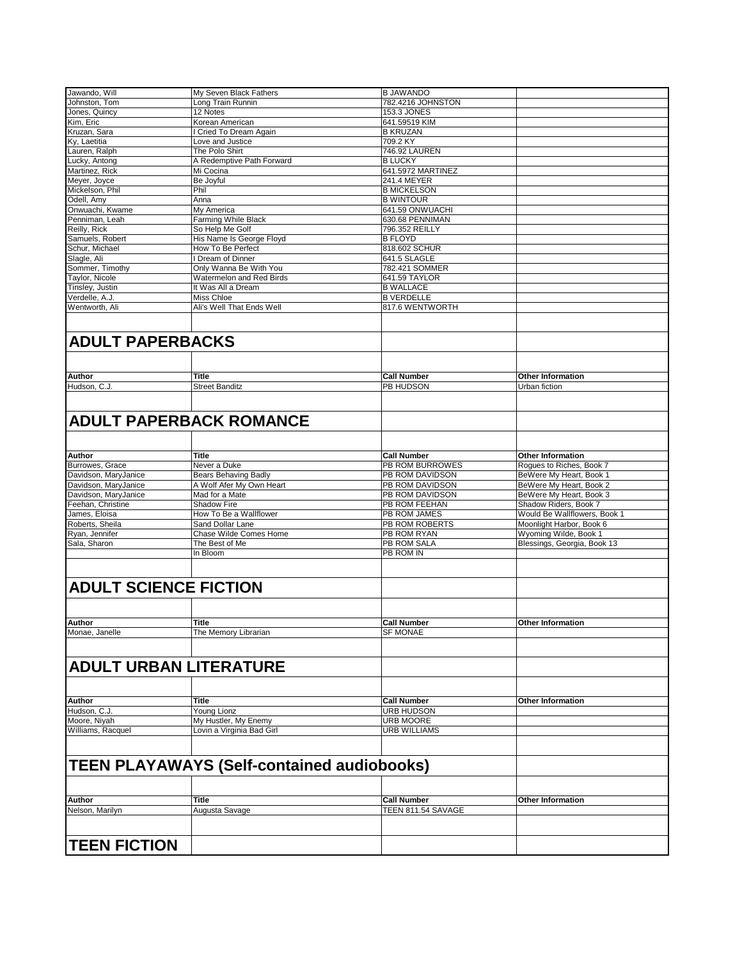| Jawando, Will                | My Seven Black Fathers                            | <b>B JAWANDO</b>                         |                              |
|------------------------------|---------------------------------------------------|------------------------------------------|------------------------------|
| Johnston, Tom                | Long Train Runnin                                 | 782.4216 JOHNSTON                        |                              |
| Jones, Quincy                | 12 Notes                                          | 153.3 JONES                              |                              |
| Kim, Eric                    | Korean American                                   | 641.59519 KIM                            |                              |
| Kruzan, Sara                 | I Cried To Dream Again                            | <b>B KRUZAN</b>                          |                              |
| Ky, Laetitia                 | Love and Justice                                  | 709.2 KY                                 |                              |
| Lauren, Ralph                | The Polo Shirt                                    | 746.92 LAUREN                            |                              |
| Lucky, Antong                | A Redemptive Path Forward                         | <b>B LUCKY</b>                           |                              |
| Martinez, Rick               | Mi Cocina                                         | 641.5972 MARTINEZ                        |                              |
| Meyer, Joyce                 | Be Joyful                                         | 241.4 MEYER                              |                              |
| Mickelson, Phil              | Phil                                              | <b>B MICKELSON</b>                       |                              |
| Odell, Amy                   | Anna                                              | <b>B WINTOUR</b>                         |                              |
| Onwuachi, Kwame              | My America                                        | 641.59 ONWUACHI                          |                              |
| Penniman, Leah               | Farming While Black                               | 630.68 PENNIMAN                          |                              |
| Reilly, Rick                 | So Help Me Golf                                   | 796.352 REILLY                           |                              |
| Samuels, Robert              | His Name Is George Floyd                          | <b>B FLOYD</b>                           |                              |
| Schur, Michael               | How To Be Perfect                                 | 818.602 SCHUR                            |                              |
| Slagle, Ali                  | I Dream of Dinner                                 | 641.5 SLAGLE                             |                              |
| Sommer, Timothy              | Only Wanna Be With You                            | 782.421 SOMMER                           |                              |
| Taylor, Nicole               | Watermelon and Red Birds                          | 641.59 TAYLOR                            |                              |
| Tinsley, Justin              | It Was All a Dream                                | <b>B WALLACE</b>                         |                              |
| Verdelle, A.J.               | Miss Chloe                                        | <b>B VERDELLE</b>                        |                              |
| Wentworth, Ali               | Ali's Well That Ends Well                         | 817.6 WENTWORTH                          |                              |
|                              |                                                   |                                          |                              |
|                              |                                                   |                                          |                              |
| <b>ADULT PAPERBACKS</b>      |                                                   |                                          |                              |
|                              |                                                   |                                          |                              |
|                              |                                                   |                                          |                              |
| Author                       | Title                                             | <b>Call Number</b>                       | <b>Other Information</b>     |
| Hudson, C.J.                 | <b>Street Banditz</b>                             | PB HUDSON                                | Urban fiction                |
|                              |                                                   |                                          |                              |
|                              |                                                   |                                          |                              |
|                              | <b>ADULT PAPERBACK ROMANCE</b>                    |                                          |                              |
|                              |                                                   |                                          |                              |
|                              |                                                   |                                          |                              |
| <b>Author</b>                | <b>Title</b>                                      | <b>Call Number</b>                       | <b>Other Information</b>     |
|                              |                                                   |                                          |                              |
| Burrowes, Grace              | Never a Duke                                      | PB ROM BURROWES                          | Rogues to Riches, Book 7     |
| Davidson, MaryJanice         | <b>Bears Behaving Badly</b>                       | PB ROM DAVIDSON                          | BeWere My Heart, Book 1      |
| Davidson, MaryJanice         | A Wolf Afer My Own Heart                          | PB ROM DAVIDSON                          | BeWere My Heart, Book 2      |
| Davidson, MaryJanice         | Mad for a Mate                                    | PB ROM DAVIDSON                          | BeWere My Heart, Book 3      |
| Feehan, Christine            | Shadow Fire                                       | PB ROM FEEHAN                            | Shadow Riders, Book 7        |
| James, Eloisa                | How To Be a Wallflower                            | PB ROM JAMES                             | Would Be Wallflowers, Book 1 |
| Roberts, Sheila              | Sand Dollar Lane                                  | PB ROM ROBERTS                           | Moonlight Harbor, Book 6     |
| Ryan, Jennifer               | Chase Wilde Comes Home                            | PB ROM RYAN                              | Wyoming Wilde, Book 1        |
| Sala, Sharon                 | The Best of Me                                    | PB ROM SALA                              | Blessings, Georgia, Book 13  |
|                              | In Bloom                                          | PB ROM IN                                |                              |
|                              |                                                   |                                          |                              |
|                              |                                                   |                                          |                              |
| <b>ADULT SCIENCE FICTION</b> |                                                   |                                          |                              |
|                              |                                                   |                                          |                              |
|                              |                                                   |                                          | <b>Other Information</b>     |
| Author                       | <b>Title</b>                                      | <b>Call Number</b>                       |                              |
| Monae, Janelle               | The Memory Librarian                              | <b>SF MONAE</b>                          |                              |
|                              |                                                   |                                          |                              |
| ADULT URBAN LITERATURE       |                                                   |                                          |                              |
|                              |                                                   |                                          |                              |
|                              |                                                   |                                          |                              |
| <b>Author</b>                | Title                                             | <b>Call Number</b>                       | <b>Other Information</b>     |
| Hudson, C.J.                 | Young Lionz                                       | URB HUDSON                               |                              |
| Moore, Niyah                 | My Hustler, My Enemy                              | <b>URB MOORE</b>                         |                              |
| Williams, Racquel            | Lovin a Virginia Bad Girl                         | <b>URB WILLIAMS</b>                      |                              |
|                              |                                                   |                                          |                              |
|                              |                                                   |                                          |                              |
|                              | <b>TEEN PLAYAWAYS (Self-contained audiobooks)</b> |                                          |                              |
|                              |                                                   |                                          |                              |
|                              |                                                   |                                          |                              |
|                              |                                                   |                                          |                              |
| Author<br>Nelson, Marilyn    | Title                                             | <b>Call Number</b><br>TEEN 811.54 SAVAGE | <b>Other Information</b>     |
|                              | Augusta Savage                                    |                                          |                              |
|                              |                                                   |                                          |                              |
|                              |                                                   |                                          |                              |
| <b>TEEN FICTION</b>          |                                                   |                                          |                              |